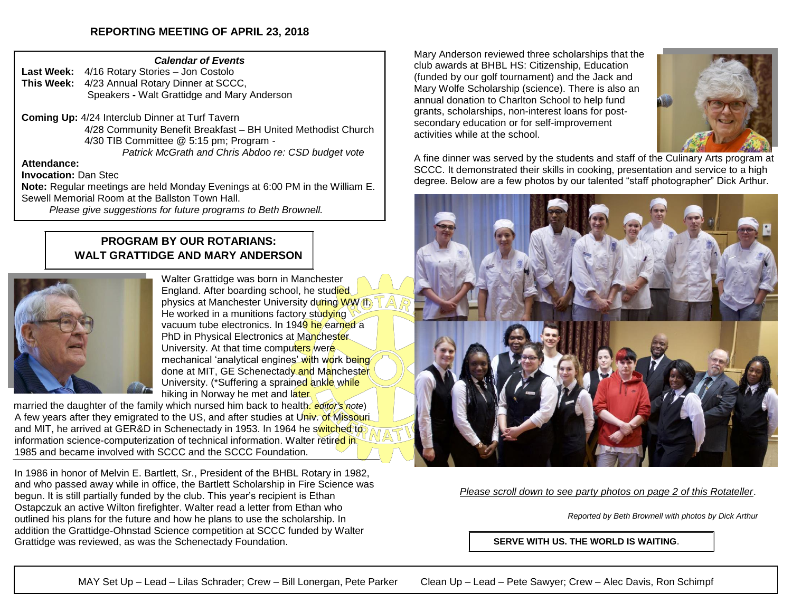## **REPORTING MEETING OF APRIL 23, 2018**

#### *Calendar of Events*

**Last Week:** 4/16 Rotary Stories – Jon Costolo **This Week:** 4/23 Annual Rotary Dinner at SCCC, Speakers **-** Walt Grattidge and Mary Anderson

**Coming Up:** 4/24 Interclub Dinner at Turf Tavern 4/28 Community Benefit Breakfast – BH United Methodist Church 4/30 TIB Committee @ 5:15 pm; Program - *Patrick McGrath and Chris Abdoo re: CSD budget vote*

### **Attendance:**

**Invocation:** Dan Stec

**Note:** Regular meetings are held Monday Evenings at 6:00 PM in the William E. Sewell Memorial Room at the Ballston Town Hall.

*Please give suggestions for future programs to Beth Brownell.*

## **PROGRAM BY OUR ROTARIANS: WALT GRATTIDGE AND MARY ANDERSON**



Walter Grattidge was born in Manchester England. After boarding school, he studied physics at Manchester University during WW II. He worked in a munitions factory studying vacuum tube electronics. In 1949 he earned a PhD in Physical Electronics at Manchester University. At that time computers were mechanical 'analytical engines' with work being done at MIT, GE Schenectady and Manchester University. (\*Suffering a sprained ankle while hiking in Norway he met and later

married the daughter of the family which nursed him back to health. *editor's note*) A few years after they emigrated to the US, and after studies at Univ. of Missouri and MIT, he arrived at GER&D in Schenectady in 1953. In 1964 he switched to information science-computerization of technical information. Walter retired in 1985 and became involved with SCCC and the SCCC Foundation.

In 1986 in honor of Melvin E. Bartlett, Sr., President of the BHBL Rotary in 1982, and who passed away while in office, the Bartlett Scholarship in Fire Science was begun. It is still partially funded by the club. This year's recipient is Ethan Ostapczuk an active Wilton firefighter. Walter read a letter from Ethan who outlined his plans for the future and how he plans to use the scholarship. In addition the Grattidge-Ohnstad Science competition at SCCC funded by Walter Grattidge was reviewed, as was the Schenectady Foundation.

Mary Anderson reviewed three scholarships that the club awards at BHBL HS: Citizenship, Education (funded by our golf tournament) and the Jack and Mary Wolfe Scholarship (science). There is also an annual donation to Charlton School to help fund grants, scholarships, non-interest loans for postsecondary education or for self-improvement activities while at the school.



A fine dinner was served by the students and staff of the Culinary Arts program at SCCC. It demonstrated their skills in cooking, presentation and service to a high degree. Below are a few photos by our talented "staff photographer" Dick Arthur.



*Please scroll down to see party photos on page 2 of this Rotateller*.

*Reported by Beth Brownell with photos by Dick Arthur*

**SERVE WITH US. THE WORLD IS WAITING**.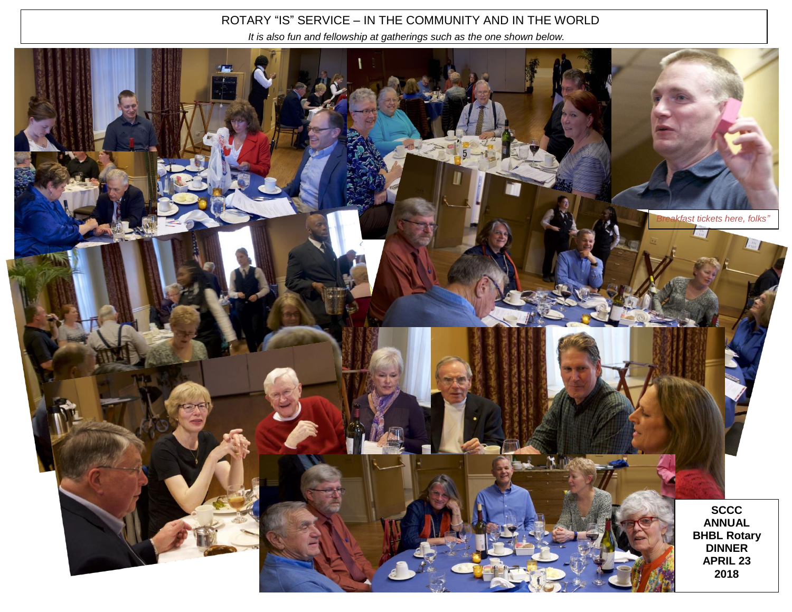# ROTARY "IS" SERVICE – IN THE COMMUNITY AND IN THE WORLD

 *It is also fun and fellowship at gatherings such as the one shown below.*